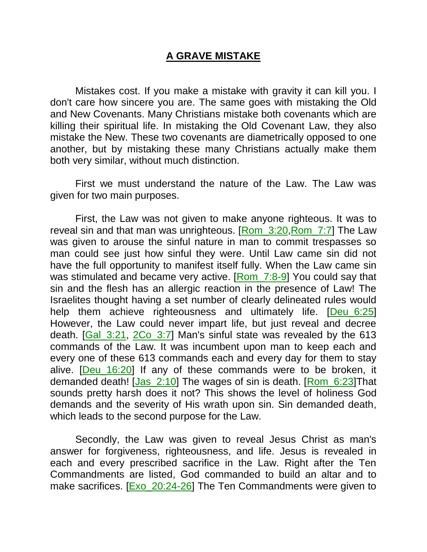## **A GRAVE MISTAKE**

Mistakes cost. If you make a mistake with gravity it can kill you. I don't care how sincere you are. The same goes with mistaking the Old and New Covenants. Many Christians mistake both covenants which are killing their spiritual life. In mistaking the Old Covenant Law, they also mistake the New. These two covenants are diametrically opposed to one another, but by mistaking these many Christians actually make them both very similar, without much distinction.

First we must understand the nature of the Law. The Law was given for two main purposes.

First, the Law was not given to make anyone righteous. It was to reveal sin and that man was unrighteous. [Rom\_3:20,Rom\_7:7] The Law was given to arouse the sinful nature in man to commit trespasses so man could see just how sinful they were. Until Law came sin did not have the full opportunity to manifest itself fully. When the Law came sin was stimulated and became very active. [Rom 7:8-9] You could say that sin and the flesh has an allergic reaction in the presence of Law! The Israelites thought having a set number of clearly delineated rules would help them achieve righteousness and ultimately life. [Deu\_6:25] However, the Law could never impart life, but just reveal and decree death. [Gal 3:21, 2Co 3:7] Man's sinful state was revealed by the 613 commands of the Law. It was incumbent upon man to keep each and every one of these 613 commands each and every day for them to stay alive. [Deu\_16:20] If any of these commands were to be broken, it demanded death! [Jas\_2:10] The wages of sin is death. [Rom\_6:23]That sounds pretty harsh does it not? This shows the level of holiness God demands and the severity of His wrath upon sin. Sin demanded death, which leads to the second purpose for the Law.

Secondly, the Law was given to reveal Jesus Christ as man's answer for forgiveness, righteousness, and life. Jesus is revealed in each and every prescribed sacrifice in the Law. Right after the Ten Commandments are listed, God commanded to build an altar and to make sacrifices. [Exo\_20:24-26] The Ten Commandments were given to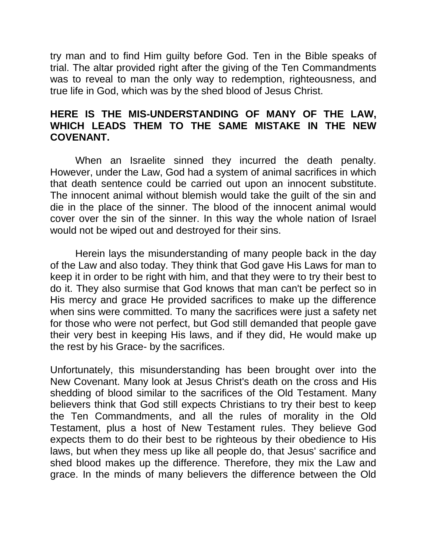try man and to find Him guilty before God. Ten in the Bible speaks of trial. The altar provided right after the giving of the Ten Commandments was to reveal to man the only way to redemption, righteousness, and true life in God, which was by the shed blood of Jesus Christ.

## **HERE IS THE MIS-UNDERSTANDING OF MANY OF THE LAW, WHICH LEADS THEM TO THE SAME MISTAKE IN THE NEW COVENANT.**

When an Israelite sinned they incurred the death penalty. However, under the Law, God had a system of animal sacrifices in which that death sentence could be carried out upon an innocent substitute. The innocent animal without blemish would take the guilt of the sin and die in the place of the sinner. The blood of the innocent animal would cover over the sin of the sinner. In this way the whole nation of Israel would not be wiped out and destroyed for their sins.

Herein lays the misunderstanding of many people back in the day of the Law and also today. They think that God gave His Laws for man to keep it in order to be right with him, and that they were to try their best to do it. They also surmise that God knows that man can't be perfect so in His mercy and grace He provided sacrifices to make up the difference when sins were committed. To many the sacrifices were just a safety net for those who were not perfect, but God still demanded that people gave their very best in keeping His laws, and if they did, He would make up the rest by his Grace- by the sacrifices.

Unfortunately, this misunderstanding has been brought over into the New Covenant. Many look at Jesus Christ's death on the cross and His shedding of blood similar to the sacrifices of the Old Testament. Many believers think that God still expects Christians to try their best to keep the Ten Commandments, and all the rules of morality in the Old Testament, plus a host of New Testament rules. They believe God expects them to do their best to be righteous by their obedience to His laws, but when they mess up like all people do, that Jesus' sacrifice and shed blood makes up the difference. Therefore, they mix the Law and grace. In the minds of many believers the difference between the Old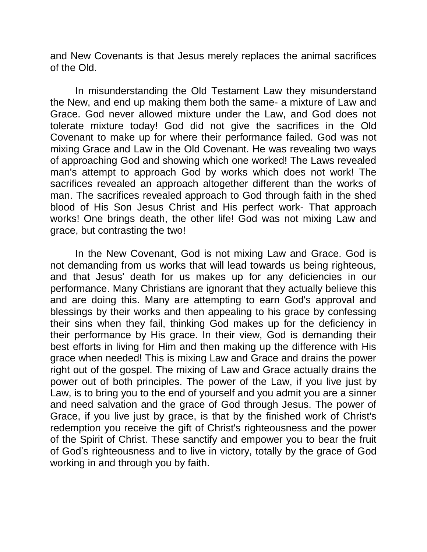and New Covenants is that Jesus merely replaces the animal sacrifices of the Old.

In misunderstanding the Old Testament Law they misunderstand the New, and end up making them both the same- a mixture of Law and Grace. God never allowed mixture under the Law, and God does not tolerate mixture today! God did not give the sacrifices in the Old Covenant to make up for where their performance failed. God was not mixing Grace and Law in the Old Covenant. He was revealing two ways of approaching God and showing which one worked! The Laws revealed man's attempt to approach God by works which does not work! The sacrifices revealed an approach altogether different than the works of man. The sacrifices revealed approach to God through faith in the shed blood of His Son Jesus Christ and His perfect work- That approach works! One brings death, the other life! God was not mixing Law and grace, but contrasting the two!

In the New Covenant, God is not mixing Law and Grace. God is not demanding from us works that will lead towards us being righteous, and that Jesus' death for us makes up for any deficiencies in our performance. Many Christians are ignorant that they actually believe this and are doing this. Many are attempting to earn God's approval and blessings by their works and then appealing to his grace by confessing their sins when they fail, thinking God makes up for the deficiency in their performance by His grace. In their view, God is demanding their best efforts in living for Him and then making up the difference with His grace when needed! This is mixing Law and Grace and drains the power right out of the gospel. The mixing of Law and Grace actually drains the power out of both principles. The power of the Law, if you live just by Law, is to bring you to the end of yourself and you admit you are a sinner and need salvation and the grace of God through Jesus. The power of Grace, if you live just by grace, is that by the finished work of Christ's redemption you receive the gift of Christ's righteousness and the power of the Spirit of Christ. These sanctify and empower you to bear the fruit of God's righteousness and to live in victory, totally by the grace of God working in and through you by faith.